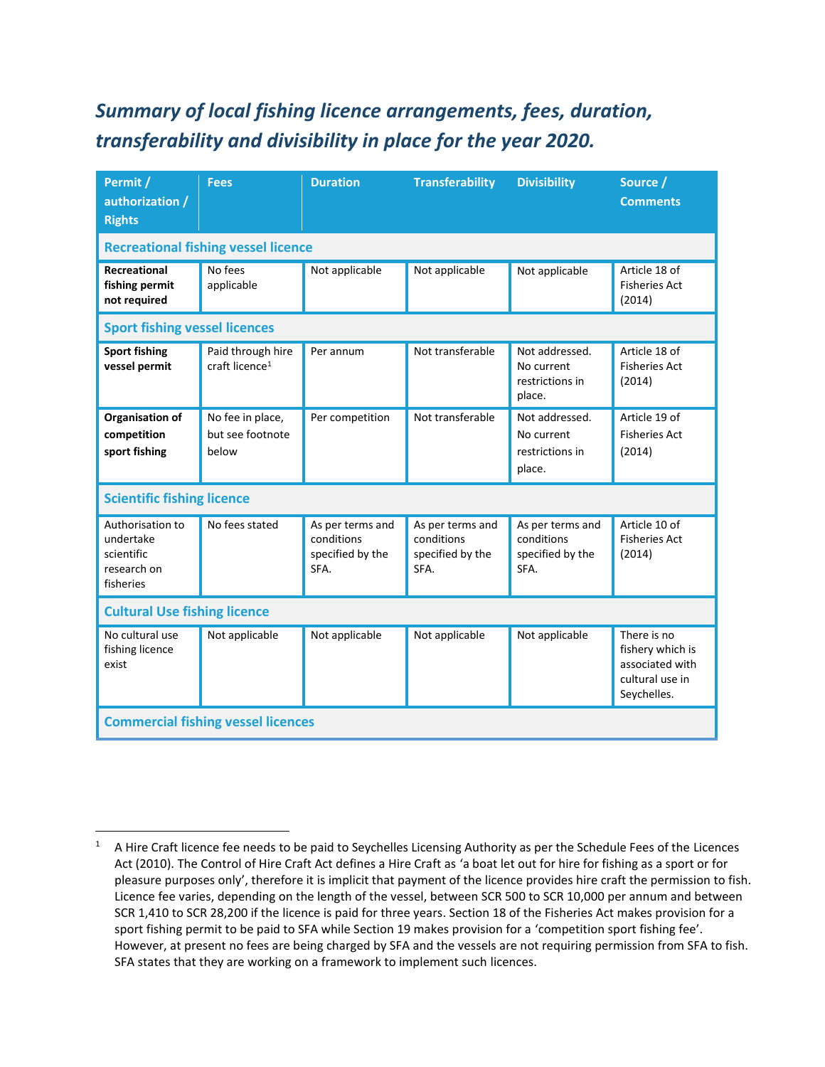## *Summary of local fishing licence arrangements, fees, duration, transferability and divisibility in place for the year 2020.*

| Permit /<br>authorization /<br><b>Rights</b>                            | <b>Fees</b>                                     | <b>Duration</b>                                            | <b>Transferability</b>                                     | <b>Divisibility</b>                                        | Source /<br><b>Comments</b>                                                          |  |
|-------------------------------------------------------------------------|-------------------------------------------------|------------------------------------------------------------|------------------------------------------------------------|------------------------------------------------------------|--------------------------------------------------------------------------------------|--|
|                                                                         | <b>Recreational fishing vessel licence</b>      |                                                            |                                                            |                                                            |                                                                                      |  |
| Recreational<br>fishing permit<br>not required                          | No fees<br>applicable                           | Not applicable                                             | Not applicable                                             | Not applicable                                             | Article 18 of<br><b>Fisheries Act</b><br>(2014)                                      |  |
| <b>Sport fishing vessel licences</b>                                    |                                                 |                                                            |                                                            |                                                            |                                                                                      |  |
| <b>Sport fishing</b><br>vessel permit                                   | Paid through hire<br>craft licence <sup>1</sup> | Per annum                                                  | Not transferable                                           | Not addressed.<br>No current<br>restrictions in<br>place.  | Article 18 of<br><b>Fisheries Act</b><br>(2014)                                      |  |
| Organisation of<br>competition<br>sport fishing                         | No fee in place,<br>but see footnote<br>below   | Per competition                                            | Not transferable                                           | Not addressed.<br>No current<br>restrictions in<br>place.  | Article 19 of<br><b>Fisheries Act</b><br>(2014)                                      |  |
| <b>Scientific fishing licence</b>                                       |                                                 |                                                            |                                                            |                                                            |                                                                                      |  |
| Authorisation to<br>undertake<br>scientific<br>research on<br>fisheries | No fees stated                                  | As per terms and<br>conditions<br>specified by the<br>SFA. | As per terms and<br>conditions<br>specified by the<br>SFA. | As per terms and<br>conditions<br>specified by the<br>SFA. | Article 10 of<br><b>Fisheries Act</b><br>(2014)                                      |  |
| <b>Cultural Use fishing licence</b>                                     |                                                 |                                                            |                                                            |                                                            |                                                                                      |  |
| No cultural use<br>fishing licence<br>exist                             | Not applicable                                  | Not applicable                                             | Not applicable                                             | Not applicable                                             | There is no<br>fishery which is<br>associated with<br>cultural use in<br>Seychelles. |  |
| <b>Commercial fishing vessel licences</b>                               |                                                 |                                                            |                                                            |                                                            |                                                                                      |  |

<sup>&</sup>lt;sup>1</sup> A Hire Craft licence fee needs to be paid to Seychelles Licensing Authority as per the Schedule Fees of the Licences Act (2010). The Control of Hire Craft Act defines a Hire Craft as 'a boat let out for hire for fishing as a sport or for pleasure purposes only', therefore it is implicit that payment of the licence provides hire craft the permission to fish. Licence fee varies, depending on the length of the vessel, between SCR 500 to SCR 10,000 per annum and between SCR 1,410 to SCR 28,200 if the licence is paid for three years. Section 18 of the Fisheries Act makes provision for a sport fishing permit to be paid to SFA while Section 19 makes provision for a 'competition sport fishing fee'. However, at present no fees are being charged by SFA and the vessels are not requiring permission from SFA to fish. SFA states that they are working on a framework to implement such licences.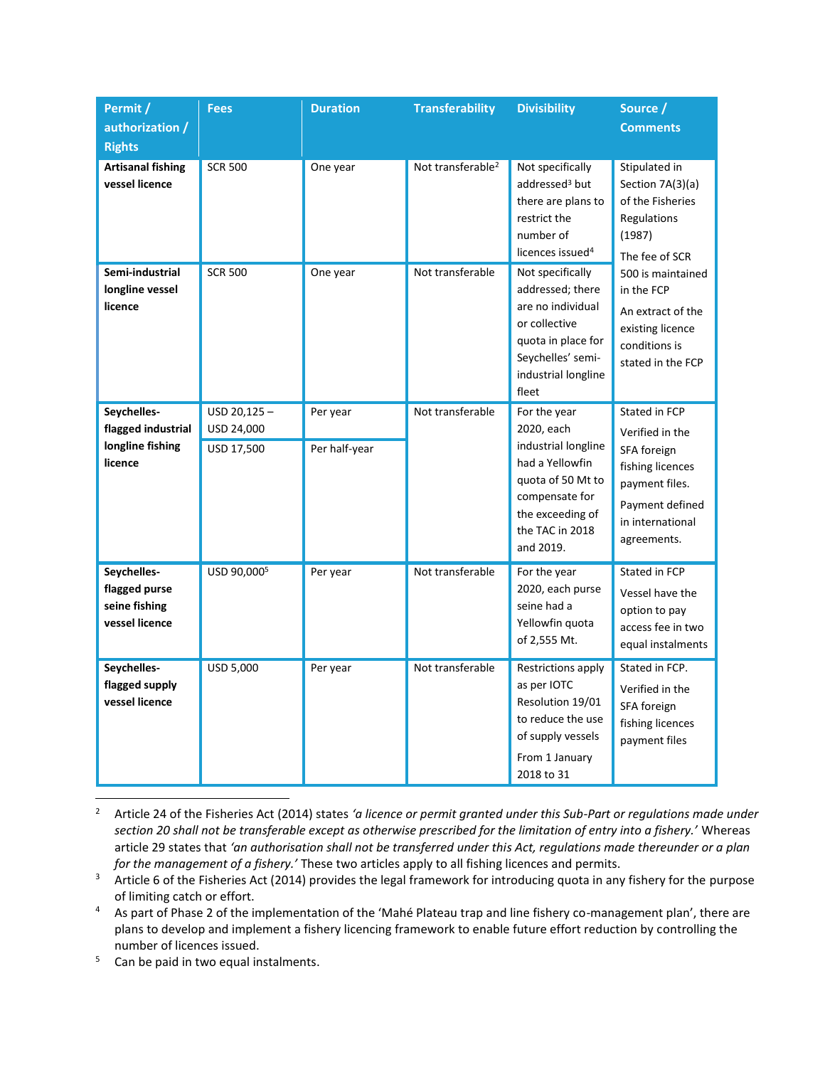| Permit /<br>authorization /<br><b>Rights</b>                     | <b>Fees</b>                             | <b>Duration</b>           | <b>Transferability</b>        | <b>Divisibility</b>                                                                                                                                             | Source /<br><b>Comments</b>                                                                                                                                                                                        |
|------------------------------------------------------------------|-----------------------------------------|---------------------------|-------------------------------|-----------------------------------------------------------------------------------------------------------------------------------------------------------------|--------------------------------------------------------------------------------------------------------------------------------------------------------------------------------------------------------------------|
| <b>Artisanal fishing</b><br>vessel licence                       | <b>SCR 500</b>                          | One year                  | Not transferable <sup>2</sup> | Not specifically<br>addressed <sup>3</sup> but<br>there are plans to<br>restrict the<br>number of<br>licences issued <sup>4</sup>                               | Stipulated in<br>Section 7A(3)(a)<br>of the Fisheries<br>Regulations<br>(1987)<br>The fee of SCR<br>500 is maintained<br>in the FCP<br>An extract of the<br>existing licence<br>conditions is<br>stated in the FCP |
| Semi-industrial<br>longline vessel<br>licence                    | <b>SCR 500</b>                          | One year                  | Not transferable              | Not specifically<br>addressed; there<br>are no individual<br>or collective<br>quota in place for<br>Seychelles' semi-<br>industrial longline<br>fleet           |                                                                                                                                                                                                                    |
| Seychelles-<br>flagged industrial<br>longline fishing<br>licence | USD 20,125-<br>USD 24,000<br>USD 17,500 | Per year<br>Per half-year | Not transferable              | For the year<br>2020, each<br>industrial longline<br>had a Yellowfin<br>quota of 50 Mt to<br>compensate for<br>the exceeding of<br>the TAC in 2018<br>and 2019. | Stated in FCP<br>Verified in the<br>SFA foreign<br>fishing licences<br>payment files.<br>Payment defined<br>in international<br>agreements.                                                                        |
| Seychelles-<br>flagged purse<br>seine fishing<br>vessel licence  | USD 90,0005                             | Per year                  | Not transferable              | For the year<br>2020, each purse<br>seine had a<br>Yellowfin quota<br>of 2,555 Mt.                                                                              | Stated in FCP<br>Vessel have the<br>option to pay<br>access fee in two<br>equal instalments                                                                                                                        |
| Seychelles-<br>flagged supply<br>vessel licence                  | USD 5,000                               | Per year                  | Not transferable              | Restrictions apply<br>as per IOTC<br>Resolution 19/01<br>to reduce the use<br>of supply vessels<br>From 1 January<br>2018 to 31                                 | Stated in FCP.<br>Verified in the<br>SFA foreign<br>fishing licences<br>payment files                                                                                                                              |

- <sup>2</sup> Article 24 of the Fisheries Act (2014) states *'a licence or permit granted under this Sub-Part or regulations made under section 20 shall not be transferable except as otherwise prescribed for the limitation of entry into a fishery.'* Whereas article 29 states that *'an authorisation shall not be transferred under this Act, regulations made thereunder or a plan for the management of a fishery.'* These two articles apply to all fishing licences and permits.
- <sup>3</sup> Article 6 of the Fisheries Act (2014) provides the legal framework for introducing quota in any fishery for the purpose of limiting catch or effort.
- <sup>4</sup> As part of Phase 2 of the implementation of the 'Mahé Plateau trap and line fishery co-management plan', there are plans to develop and implement a fishery licencing framework to enable future effort reduction by controlling the number of licences issued.
- <sup>5</sup> Can be paid in two equal instalments.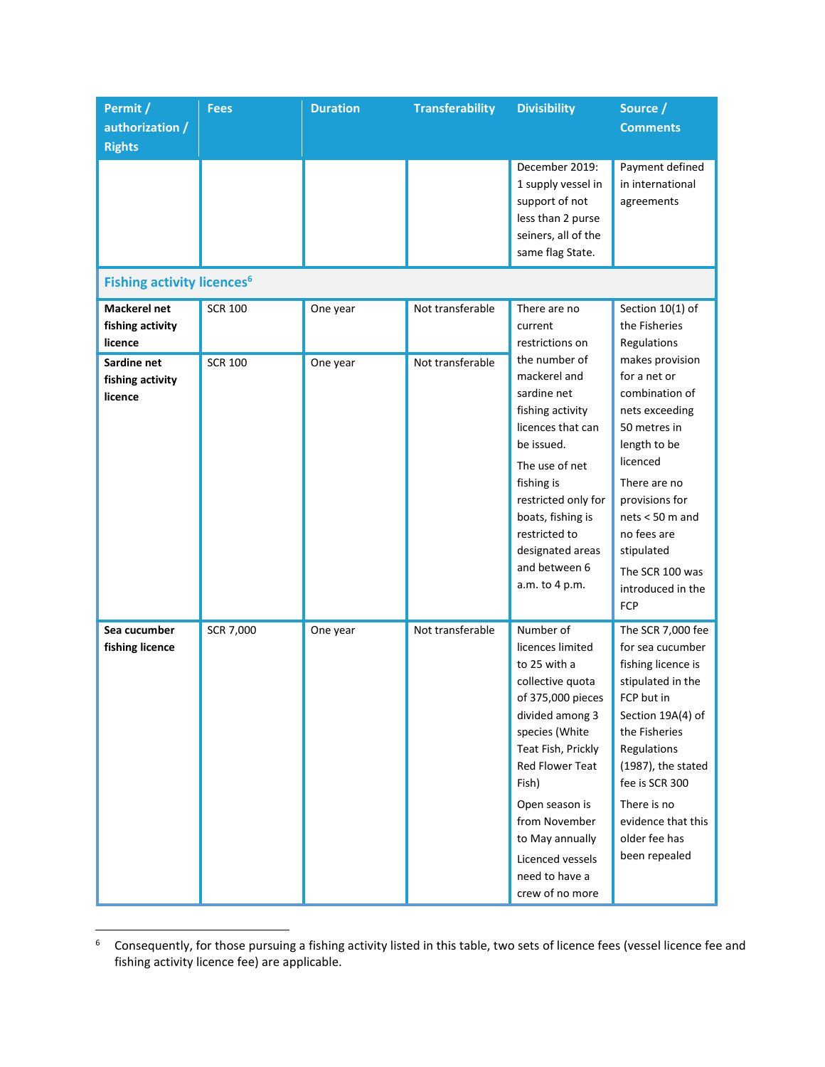| Permit /                                           | <b>Fees</b>    | <b>Duration</b> | <b>Transferability</b> | <b>Divisibility</b>                                                                                                                                                                                                                                                                          | Source /                                                                                                                                                                                                                                                           |
|----------------------------------------------------|----------------|-----------------|------------------------|----------------------------------------------------------------------------------------------------------------------------------------------------------------------------------------------------------------------------------------------------------------------------------------------|--------------------------------------------------------------------------------------------------------------------------------------------------------------------------------------------------------------------------------------------------------------------|
| authorization /<br><b>Rights</b>                   |                |                 |                        |                                                                                                                                                                                                                                                                                              | <b>Comments</b>                                                                                                                                                                                                                                                    |
|                                                    |                |                 |                        | December 2019:<br>1 supply vessel in<br>support of not<br>less than 2 purse<br>seiners, all of the<br>same flag State.                                                                                                                                                                       | Payment defined<br>in international<br>agreements                                                                                                                                                                                                                  |
| <b>Fishing activity licences<sup>6</sup></b>       |                |                 |                        |                                                                                                                                                                                                                                                                                              |                                                                                                                                                                                                                                                                    |
| <b>Mackerel net</b><br>fishing activity<br>licence | <b>SCR 100</b> | One year        | Not transferable       | There are no<br>current<br>restrictions on                                                                                                                                                                                                                                                   | Section 10(1) of<br>the Fisheries<br>Regulations                                                                                                                                                                                                                   |
| Sardine net<br>fishing activity<br>licence         | <b>SCR 100</b> | One year        | Not transferable       | the number of<br>mackerel and<br>sardine net<br>fishing activity<br>licences that can<br>be issued.<br>The use of net<br>fishing is<br>restricted only for<br>boats, fishing is<br>restricted to<br>designated areas<br>and between 6<br>a.m. to 4 p.m.                                      | makes provision<br>for a net or<br>combination of<br>nets exceeding<br>50 metres in<br>length to be<br>licenced<br>There are no<br>provisions for<br>$nets < 50$ m and<br>no fees are<br>stipulated<br>The SCR 100 was<br>introduced in the<br><b>FCP</b>          |
| Sea cucumber<br>fishing licence                    | SCR 7,000      | One year        | Not transferable       | Number of<br>licences limited<br>to 25 with a<br>collective quota<br>of 375,000 pieces<br>divided among 3<br>species (White<br>Teat Fish, Prickly<br>Red Flower Teat<br>Fish)<br>Open season is<br>from November<br>to May annually<br>Licenced vessels<br>need to have a<br>crew of no more | The SCR 7,000 fee<br>for sea cucumber<br>fishing licence is<br>stipulated in the<br>FCP but in<br>Section 19A(4) of<br>the Fisheries<br>Regulations<br>(1987), the stated<br>fee is SCR 300<br>There is no<br>evidence that this<br>older fee has<br>been repealed |

<sup>6</sup> Consequently, for those pursuing a fishing activity listed in this table, two sets of licence fees (vessel licence fee and fishing activity licence fee) are applicable.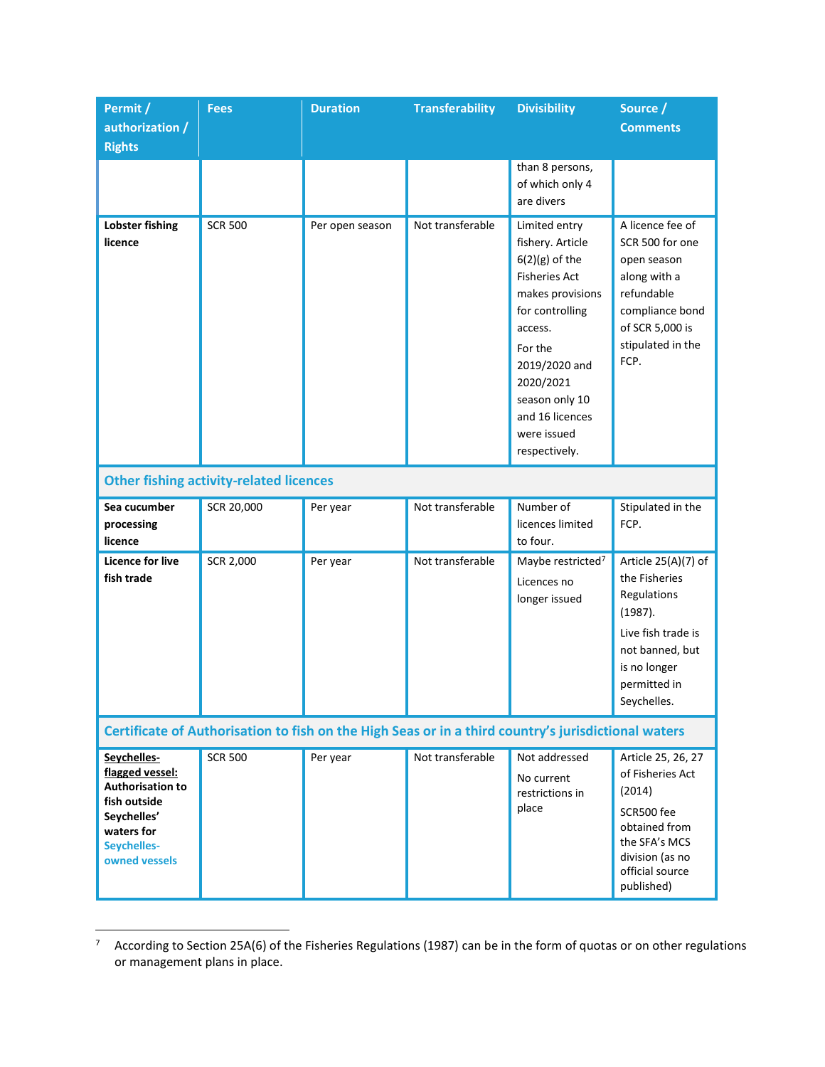| Permit /<br>authorization /                                                                                                            | <b>Fees</b>                                    | <b>Duration</b> | <b>Transferability</b> | <b>Divisibility</b>                                                                                                                                                                                                                           | Source /<br><b>Comments</b>                                                                                                                            |  |
|----------------------------------------------------------------------------------------------------------------------------------------|------------------------------------------------|-----------------|------------------------|-----------------------------------------------------------------------------------------------------------------------------------------------------------------------------------------------------------------------------------------------|--------------------------------------------------------------------------------------------------------------------------------------------------------|--|
| <b>Rights</b>                                                                                                                          |                                                |                 |                        |                                                                                                                                                                                                                                               |                                                                                                                                                        |  |
|                                                                                                                                        |                                                |                 |                        | than 8 persons,<br>of which only 4<br>are divers                                                                                                                                                                                              |                                                                                                                                                        |  |
| <b>Lobster fishing</b><br>licence                                                                                                      | <b>SCR 500</b>                                 | Per open season | Not transferable       | Limited entry<br>fishery. Article<br>$6(2)(g)$ of the<br><b>Fisheries Act</b><br>makes provisions<br>for controlling<br>access.<br>For the<br>2019/2020 and<br>2020/2021<br>season only 10<br>and 16 licences<br>were issued<br>respectively. | A licence fee of<br>SCR 500 for one<br>open season<br>along with a<br>refundable<br>compliance bond<br>of SCR 5,000 is<br>stipulated in the<br>FCP.    |  |
|                                                                                                                                        | <b>Other fishing activity-related licences</b> |                 |                        |                                                                                                                                                                                                                                               |                                                                                                                                                        |  |
| Sea cucumber<br>processing<br>licence                                                                                                  | SCR 20,000                                     | Per year        | Not transferable       | Number of<br>licences limited<br>to four.                                                                                                                                                                                                     | Stipulated in the<br>FCP.                                                                                                                              |  |
| <b>Licence for live</b><br>fish trade                                                                                                  | SCR 2,000                                      | Per year        | Not transferable       | Maybe restricted <sup>7</sup><br>Licences no<br>longer issued                                                                                                                                                                                 | Article 25(A)(7) of<br>the Fisheries<br>Regulations<br>(1987).<br>Live fish trade is<br>not banned, but<br>is no longer<br>permitted in<br>Seychelles. |  |
| Certificate of Authorisation to fish on the High Seas or in a third country's jurisdictional waters                                    |                                                |                 |                        |                                                                                                                                                                                                                                               |                                                                                                                                                        |  |
| Seychelles-<br>flagged vessel:<br><b>Authorisation to</b><br>fish outside<br>Seychelles'<br>waters for<br>Seychelles-<br>owned vessels | <b>SCR 500</b>                                 | Per year        | Not transferable       | Not addressed<br>No current<br>restrictions in<br>place                                                                                                                                                                                       | Article 25, 26, 27<br>of Fisheries Act<br>(2014)<br>SCR500 fee<br>obtained from<br>the SFA's MCS<br>division (as no<br>official source<br>published)   |  |

 $7$  According to Section 25A(6) of the Fisheries Regulations (1987) can be in the form of quotas or on other regulations or management plans in place.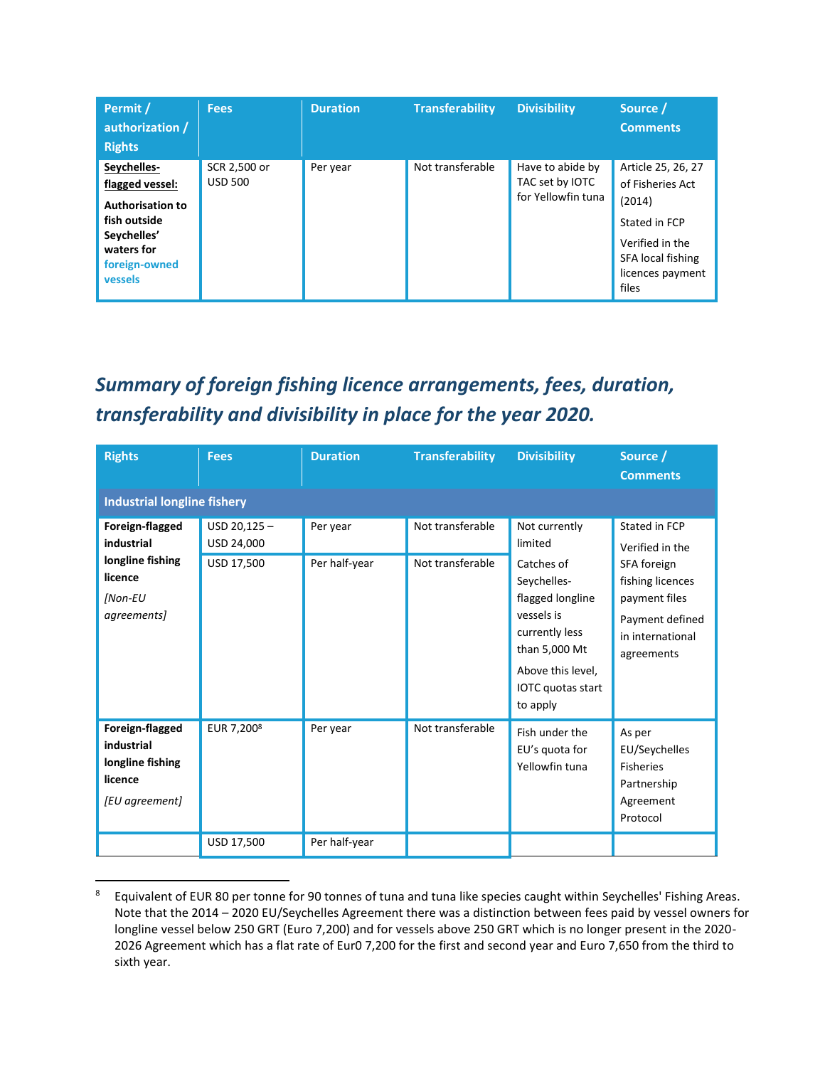| Permit /<br>authorization /<br><b>Rights</b>                                                                                       | <b>Fees</b>                    | <b>Duration</b> | <b>Transferability</b> | <b>Divisibility</b>                                       | Source /<br><b>Comments</b>                                                                                                            |
|------------------------------------------------------------------------------------------------------------------------------------|--------------------------------|-----------------|------------------------|-----------------------------------------------------------|----------------------------------------------------------------------------------------------------------------------------------------|
| Seychelles-<br>flagged vessel:<br><b>Authorisation to</b><br>fish outside<br>Seychelles'<br>waters for<br>foreign-owned<br>vessels | SCR 2,500 or<br><b>USD 500</b> | Per year        | Not transferable       | Have to abide by<br>TAC set by IOTC<br>for Yellowfin tuna | Article 25, 26, 27<br>of Fisheries Act<br>(2014)<br>Stated in FCP<br>Verified in the<br>SFA local fishing<br>licences payment<br>files |

## *Summary of foreign fishing licence arrangements, fees, duration, transferability and divisibility in place for the year 2020.*

| <b>Rights</b>                                                                          | <b>Fees</b>                                | <b>Duration</b>           | <b>Transferability</b>               | <b>Divisibility</b>                                                                                                                                                              | Source /<br><b>Comments</b>                                                                                                               |  |  |
|----------------------------------------------------------------------------------------|--------------------------------------------|---------------------------|--------------------------------------|----------------------------------------------------------------------------------------------------------------------------------------------------------------------------------|-------------------------------------------------------------------------------------------------------------------------------------------|--|--|
| <b>Industrial longline fishery</b>                                                     |                                            |                           |                                      |                                                                                                                                                                                  |                                                                                                                                           |  |  |
| Foreign-flagged<br>industrial<br>longline fishing<br>licence<br>[Non-EU<br>agreements] | $USD 20,125 -$<br>USD 24,000<br>USD 17,500 | Per year<br>Per half-year | Not transferable<br>Not transferable | Not currently<br>limited<br>Catches of<br>Seychelles-<br>flagged longline<br>vessels is<br>currently less<br>than 5,000 Mt<br>Above this level,<br>IOTC quotas start<br>to apply | Stated in FCP<br>Verified in the<br>SFA foreign<br>fishing licences<br>payment files<br>Payment defined<br>in international<br>agreements |  |  |
| Foreign-flagged<br>industrial<br>longline fishing<br>licence<br>[EU agreement]         | EUR 7,200 <sup>8</sup>                     | Per year                  | Not transferable                     | Fish under the<br>EU's quota for<br>Yellowfin tuna                                                                                                                               | As per<br>EU/Seychelles<br><b>Fisheries</b><br>Partnership<br>Agreement<br>Protocol                                                       |  |  |
|                                                                                        | USD 17,500                                 | Per half-year             |                                      |                                                                                                                                                                                  |                                                                                                                                           |  |  |

<sup>8</sup> Equivalent of EUR 80 per tonne for 90 tonnes of tuna and tuna like species caught within Seychelles' Fishing Areas. Note that the 2014 – 2020 EU/Seychelles Agreement there was a distinction between fees paid by vessel owners for longline vessel below 250 GRT (Euro 7,200) and for vessels above 250 GRT which is no longer present in the 2020- 2026 Agreement which has a flat rate of Eur0 7,200 for the first and second year and Euro 7,650 from the third to sixth year.